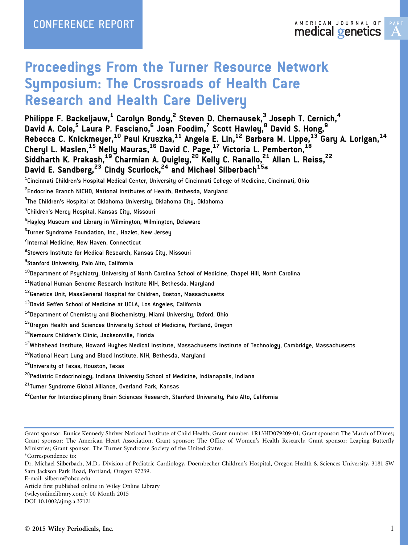# Proceedings From the Turner Resource Network Symposium: The Crossroads of Health Care Research and Health Care Delivery

Philippe F. Backeljauw, $^1$  Carolyn Bondy, $^2$  Steven D. Chernausek, $^3$  Joseph T. Cernich, $^4$ David A. Cole,<sup>5</sup> Laura P. Fasciano,<sup>6</sup> Joan Foodim,<sup>7</sup> Scott Hawley,<sup>8</sup> David S. Hong,<sup>9</sup> Rebecca C. Knickmeyer,<sup>10</sup> Paul Kruszka,<sup>11</sup> Angela E. Lin,<sup>12</sup> Barbara M. Lippe,<sup>13</sup> Gary A. Lorigan,<sup>14</sup> Cheryl L. Maslen,<sup>15</sup> Nelly Mauras,<sup>16</sup> David C. Page,<sup>17</sup> Victoria L. Pemberton,<sup>18</sup> Siddharth K. Prakash,<sup>19</sup> Charmian A. Quigley,<sup>20</sup> Kelly C. Ranallo,<sup>21</sup> Allan L. Reiss,<sup>22</sup> David E. Sandberg,<sup>23</sup> Cindy Scurlock,<sup>24</sup> and Michael Silberbach<sup>15</sup>\*

 $^{\rm 1}$ Cincinnati Children's Hospital Medical Center, University of Cincinnati College of Medicine, Cincinnati, Ohio

 $^{\sf 2}$ Endocrine Branch NICHD, National Institutes of Health, Bethesda, Maryland

 $^3$ The Children's Hospital at Oklahoma University, Oklahoma City, Oklahoma

4 Children's Mercy Hospital, Kansas City, Missouri

<sup>5</sup>Hagley Museum and Library in Wilmington, Wilmington, Delaware

<sup>6</sup>Turner Syndrome Foundation, Inc., Hazlet, New Jersey

7 Internal Medicine, New Haven, Connecticut

 ${\rm ^8}$ Stowers Institute for Medical Research, Kansas City, Missouri

<sup>9</sup>Stanford University, Palo Alto, California

 $^{10}$ Department of Psychiatry, University of North Carolina School of Medicine, Chapel Hill, North Carolina

<sup>11</sup>National Human Genome Research Institute NIH, Bethesda, Maryland

12Genetics Unit, MassGeneral Hospital for Children, Boston, Massachusetts

13David Geffen School of Medicine at UCLA, Los Angeles, California

<sup>14</sup>Department of Chemistry and Biochemistry, Miami University, Oxford, Ohio

<sup>15</sup>Oregon Health and Sciences University School of Medicine, Portland, Oregon

<sup>16</sup>Nemours Children's Clinic, Jacksonville, Florida

<sup>17</sup>Whitehead Institute, Howard Hughes Medical Institute, Massachusetts Institute of Technology, Cambridge, Massachusetts

<sup>18</sup>National Heart Lung and Blood Institute, NIH, Bethesda, Maryland

19University of Texas, Houston, Texas

<sup>20</sup>Pediatric Endocrinology, Indiana University School of Medicine, Indianapolis, Indiana

21Turner Syndrome Global Alliance, Overland Park, Kansas

<sup>22</sup>Center for Interdisciplinary Brain Sciences Research, Stanford University, Palo Alto, California

Grant sponsor: Eunice Kennedy Shriver National Institute of Child Health; Grant number: 1R13HD079209-01; Grant sponsor: The March of Dimes; Grant sponsor: The American Heart Association; Grant sponsor: The Office of Women's Health Research; Grant sponsor: Leaping Butterfly Ministries; Grant sponsor: The Turner Syndrome Society of the United States.

Correspondence to:

Dr. Michael Silberbach, M.D., Division of Pediatric Cardiology, Doernbecher Children's Hospital, Oregon Health & Sciences University, 3181 SW Sam Jackson Park Road, Portland, Oregon 97239.

E-mail: silberm@ohsu.edu

Article first published online in Wiley Online Library

(wileyonlinelibrary.com): 00 Month 2015

DOI 10.1002/ajmg.a.37121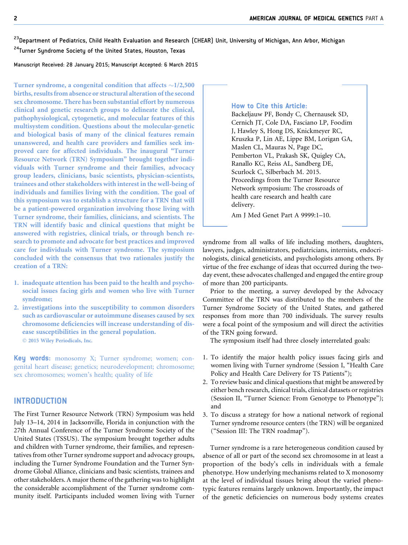<sup>23</sup>Department of Pediatrics, Child Health Evaluation and Research (CHEAR) Unit, University of Michigan, Ann Arbor, Michigan

<sup>24</sup>Turner Syndrome Society of the United States, Houston, Texas

#### Manuscript Received: 28 January 2015; Manuscript Accepted: 6 March 2015

Turner syndrome, a congenital condition that affects  $\sim$ 1/2,500 births, results from absence or structural alteration of the second sex chromosome. There has been substantial effort by numerous clinical and genetic research groups to delineate the clinical, pathophysiological, cytogenetic, and molecular features of this multisystem condition. Questions about the molecular-genetic and biological basis of many of the clinical features remain unanswered, and health care providers and families seek improved care for affected individuals. The inaugural "Turner Resource Network (TRN) Symposium" brought together individuals with Turner syndrome and their families, advocacy group leaders, clinicians, basic scientists, physician-scientists, trainees and other stakeholders with interest in the well-being of individuals and families living with the condition. The goal of this symposium was to establish a structure for a TRN that will be a patient-powered organization involving those living with Turner syndrome, their families, clinicians, and scientists. The TRN will identify basic and clinical questions that might be answered with registries, clinical trials, or through bench research to promote and advocate for best practices and improved care for individuals with Turner syndrome. The symposium concluded with the consensus that two rationales justify the creation of a TRN:

- 1. inadequate attention has been paid to the health and psychosocial issues facing girls and women who live with Turner syndrome;
- 2. investigations into the susceptibility to common disorders such as cardiovascular or autoimmune diseases caused by sex chromosome deficiencies will increase understanding of disease susceptibilities in the general population. 2015 Wiley Periodicals, Inc.

Key words: monosomy X; Turner syndrome; women; congenital heart disease; genetics; neurodevelopment; chromosome; sex chromosomes; women's health; quality of life

#### INTRODUCTION

The First Turner Resource Network (TRN) Symposium was held July 13–14, 2014 in Jacksonville, Florida in conjunction with the 27th Annual Conference of the Turner Syndrome Society of the United States (TSSUS). The symposium brought together adults and children with Turner syndrome, their families, and representatives from other Turner syndrome support and advocacy groups, including the Turner Syndrome Foundation and the Turner Syndrome Global Alliance, clinicians and basic scientists, trainees and other stakeholders. A major theme of the gathering was to highlight the considerable accomplishment of the Turner syndrome community itself. Participants included women living with Turner

#### How to Cite this Article:

Backeljauw PF, Bondy C, Chernausek SD, Cernich JT, Cole DA, Fasciano LP, Foodim J, Hawley S, Hong DS, Knickmeyer RC, Kruszka P, Lin AE, Lippe BM, Lorigan GA, Maslen CL, Mauras N, Page DC, Pemberton VL, Prakash SK, Quigley CA, Ranallo KC, Reiss AL, Sandberg DE, Scurlock C, Silberbach M. 2015. Proceedings from the Turner Resource Network symposium: The crossroads of health care research and health care delivery.

Am J Med Genet Part A 9999:1–10.

syndrome from all walks of life including mothers, daughters, lawyers, judges, administrators, pediatricians, internists, endocrinologists, clinical geneticists, and psychologists among others. By virtue of the free exchange of ideas that occurred during the twoday event, these advocates challenged and engaged the entire group of more than 200 participants.

Prior to the meeting, a survey developed by the Advocacy Committee of the TRN was distributed to the members of the Turner Syndrome Society of the United States, and gathered responses from more than 700 individuals. The survey results were a focal point of the symposium and will direct the activities of the TRN going forward.

The symposium itself had three closely interrelated goals:

- 1. To identify the major health policy issues facing girls and women living with Turner syndrome (Session I, "Health Care Policy and Health Care Delivery for TS Patients");
- 2. To review basic and clinical questions that might be answered by either bench research, clinical trials, clinical datasets or registries (Session II, "Turner Science: From Genotype to Phenotype"); and
- 3. To discuss a strategy for how a national network of regional Turner syndrome resource centers (the TRN) will be organized ("Session III: The TRN roadmap").

Turner syndrome is a rare heterogeneous condition caused by absence of all or part of the second sex chromosome in at least a proportion of the body's cells in individuals with a female phenotype. How underlying mechanisms related to X monosomy at the level of individual tissues bring about the varied phenotypic features remains largely unknown. Importantly, the impact of the genetic deficiencies on numerous body systems creates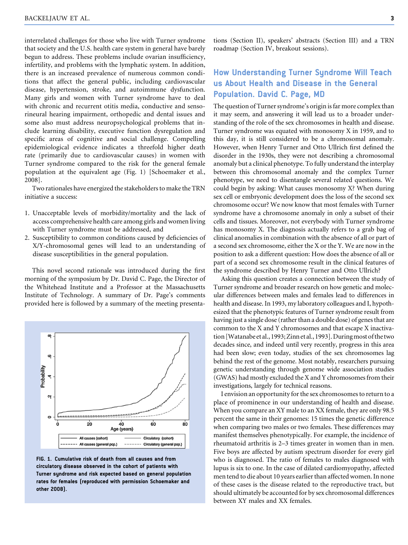interrelated challenges for those who live with Turner syndrome that society and the U.S. health care system in general have barely begun to address. These problems include ovarian insufficiency, infertility, and problems with the lymphatic system. In addition, there is an increased prevalence of numerous common conditions that affect the general public, including cardiovascular disease, hypertension, stroke, and autoimmune dysfunction. Many girls and women with Turner syndrome have to deal with chronic and recurrent otitis media, conductive and sensorineural hearing impairment, orthopedic and dental issues and some also must address neuropsychological problems that include learning disability, executive function dysregulation and specific areas of cognitive and social challenge. Compelling epidemiological evidence indicates a threefold higher death rate (primarily due to cardiovascular causes) in women with Turner syndrome compared to the risk for the general female population at the equivalent age (Fig. 1) [Schoemaker et al., 2008].

Two rationales have energized the stakeholders to make the TRN initiative a success:

- 1. Unacceptable levels of morbidity/mortality and the lack of access comprehensive health care among girls and women living with Turner syndrome must be addressed, and
- 2. Susceptibility to common conditions caused by deficiencies of X/Y-chromosomal genes will lead to an understanding of disease susceptibilities in the general population.

This novel second rationale was introduced during the first morning of the symposium by Dr. David C. Page, the Director of the Whitehead Institute and a Professor at the Massachusetts Institute of Technology. A summary of Dr. Page's comments provided here is followed by a summary of the meeting presenta-



FIG. 1. Cumulative risk of death from all causes and from circulatory disease observed in the cohort of patients with Turner syndrome and risk expected based on general population rates for females (reproduced with permission Schoemaker and other 2008).

tions (Section II), speakers' abstracts (Section III) and a TRN roadmap (Section IV, breakout sessions).

### How Understanding Turner Syndrome Will Teach us About Health and Disease in the General Population. David C. Page, MD

The question of Turner syndrome's origin is far more complex than it may seem, and answering it will lead us to a broader understanding of the role of the sex chromosomes in health and disease. Turner syndrome was equated with monosomy X in 1959, and to this day, it is still considered to be a chromosomal anomaly. However, when Henry Turner and Otto Ullrich first defined the disorder in the 1930s, they were not describing a chromosomal anomaly but a clinical phenotype. To fully understand the interplay between this chromosomal anomaly and the complex Turner phenotype, we need to disentangle several related questions. We could begin by asking: What causes monosomy X? When during sex cell or embryonic development does the loss of the second sex chromosome occur? We now know that most females with Turner syndrome have a chromosome anomaly in only a subset of their cells and tissues. Moreover, not everybody with Turner syndrome has monosomy X. The diagnosis actually refers to a grab bag of clinical anomalies in combination with the absence of all or part of a second sex chromosome, either the X or the Y. We are now in the position to ask a different question: How does the absence of all or part of a second sex chromosome result in the clinical features of the syndrome described by Henry Turner and Otto Ullrich?

Asking this question creates a connection between the study of Turner syndrome and broader research on how genetic and molecular differences between males and females lead to differences in health and disease. In 1993, my laboratory colleagues and I, hypothesized that the phenotypic features of Turner syndrome result from having just a single dose (rather than a double dose) of genes that are common to the X and Y chromosomes and that escape X inactivation [Watanabe et al.,1993;Zinn et al.,1993]. Duringmost of the two decades since, and indeed until very recently, progress in this area had been slow; even today, studies of the sex chromosomes lag behind the rest of the genome. Most notably, researchers pursuing genetic understanding through genome wide association studies (GWAS) had mostly excluded the X and Y chromosomes from their investigations, largely for technical reasons.

I envision an opportunity for the sex chromosomes to return to a place of prominence in our understanding of health and disease. When you compare an XY male to an XX female, they are only 98.5 percent the same in their genomes: 15 times the genetic difference when comparing two males or two females. These differences may manifest themselves phenotypically. For example, the incidence of rheumatoid arthritis is 2–3 times greater in women than in men. Five boys are affected by autism spectrum disorder for every girl who is diagnosed. The ratio of females to males diagnosed with lupus is six to one. In the case of dilated cardiomyopathy, affected men tend to die about 10 years earlier than affected women. In none of these cases is the disease related to the reproductive tract, but should ultimately be accounted for by sex chromosomal differences between XY males and XX females.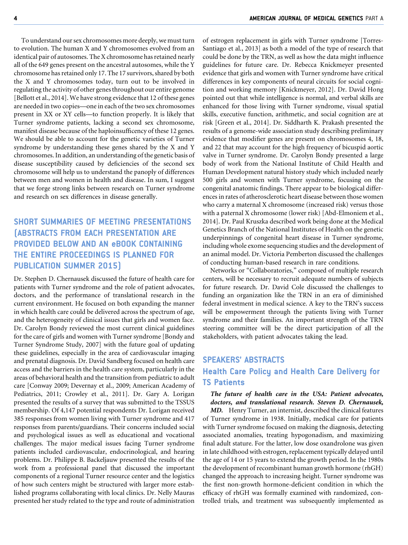To understand our sex chromosomes more deeply, we must turn to evolution. The human X and Y chromosomes evolved from an identical pair of autosomes. The X chromosome has retained nearly all of the 649 genes present on the ancestral autosomes, while the Y chromosome has retained only 17. The 17 survivors, shared by both the X and Y chromosomes today, turn out to be involved in regulating the activity of other genes throughout our entire genome [Bellott et al., 2014]. We have strong evidence that 12 of these genes are needed in two copies—one in each of the two sex chromosomes present in XX or XY cells—to function properly. It is likely that Turner syndrome patients, lacking a second sex chromosome, manifest disease because of the haploinsufficency of these 12 genes. We should be able to account for the genetic varieties of Turner syndrome by understanding these genes shared by the X and Y chromosomes. In addition, an understanding of the genetic basis of disease susceptibility caused by deficiencies of the second sex chromosome will help us to understand the panoply of differences between men and women in health and disease. In sum, I suggest that we forge strong links between research on Turner syndrome and research on sex differences in disease generally.

### SHORT SUMMARIES OF MEETING PRESENTATIONS (ABSTRACTS FROM EACH PRESENTATION ARE PROVIDED BELOW AND AN eBOOK CONTAINING THE ENTIRE PROCEEDINGS IS PLANNED FOR PUBLICATION SUMMER 2015)

Dr. Stephen D. Chernausek discussed the future of health care for patients with Turner syndrome and the role of patient advocates, doctors, and the performance of translational research in the current environment. He focused on both expanding the manner in which health care could be delivered across the spectrum of age, and the heterogeneity of clinical issues that girls and women face. Dr. Carolyn Bondy reviewed the most current clinical guidelines for the care of girls and women with Turner syndrome [Bondy and Turner Syndrome Study, 2007] with the future goal of updating these guidelines, especially in the area of cardiovascular imaging and prenatal diagnosis. Dr. David Sandberg focused on health care access and the barriers in the health care system, particularly in the areas of behavioral health and the transition from pediatric to adult care [Conway 2009; Devernay et al., 2009; American Academy of Pediatrics, 2011; Crowley et al., 2011]. Dr. Gary A. Lorigan presented the results of a survey that was submitted to the TSSUS membership. Of 4,147 potential respondents Dr. Lorigan received 385 responses from women living with Turner syndrome and 417 responses from parents/guardians. Their concerns included social and psychological issues as well as educational and vocational challenges. The major medical issues facing Turner syndrome patients included cardiovascular, endocrinological, and hearing problems. Dr. Philippe B. Backeljauw presented the results of the work from a professional panel that discussed the important components of a regional Turner resource center and the logistics of how such centers might be structured with larger more established programs collaborating with local clinics. Dr. Nelly Mauras presented her study related to the type and route of administration

of estrogen replacement in girls with Turner syndrome [Torres-Santiago et al., 2013] as both a model of the type of research that could be done by the TRN, as well as how the data might influence guidelines for future care. Dr. Rebecca Knickmeyer presented evidence that girls and women with Turner syndrome have critical differences in key components of neural circuits for social cognition and working memory [Knickmeyer, 2012]. Dr. David Hong pointed out that while intelligence is normal, and verbal skills are enhanced for those living with Turner syndrome, visual spatial skills, executive function, arithmetic, and social cognition are at risk [Green et al., 2014]. Dr. Siddharth K. Prakash presented the results of a genome-wide association study describing preliminary evidence that modifier genes are present on chromosomes 4, 18, and 22 that may account for the high frequency of bicuspid aortic valve in Turner syndrome. Dr. Carolyn Bondy presented a large body of work from the National Institute of Child Health and Human Development natural history study which included nearly 500 girls and women with Turner syndrome, focusing on the congenital anatomic findings. There appear to be biological differences in rates of atherosclerotic heart disease between those women who carry a maternal X chromosome (increased risk) versus those with a paternal X chromosome (lower risk) [Abd-Elmoniem et al., 2014]. Dr. Paul Kruszka described work being done at the Medical Genetics Branch of the National Institutes of Health on the genetic underpinnings of congenital heart disease in Turner syndrome, including whole exome sequencing studies and the development of an animal model. Dr. Victoria Pemberton discussed the challenges of conducting human-based research in rare conditions.

Networks or "Collaboratories," composed of multiple research centers, will be necessary to recruit adequate numbers of subjects for future research. Dr. David Cole discussed the challenges to funding an organization like the TRN in an era of diminished federal investment in medical science. A key to the TRN's success will be empowerment through the patients living with Turner syndrome and their families. An important strength of the TRN steering committee will be the direct participation of all the stakeholders, with patient advocates taking the lead.

### SPEAKERS' ABSTRACTS Health Care Policy and Health Care Delivery for TS Patients

#### The future of health care in the USA: Patient advocates, doctors, and translational research. Steven D. Chernausek,

MD. Henry Turner, an internist, described the clinical features of Turner syndrome in 1938. Initially, medical care for patients with Turner syndrome focused on making the diagnosis, detecting associated anomalies, treating hypogonadism, and maximizing final adult stature. For the latter, low dose oxandrolone was given in late childhood with estrogen, replacement typically delayed until the age of 14 or 15 years to extend the growth period. In the 1980s the development of recombinant human growth hormone (rhGH) changed the approach to increasing height. Turner syndrome was the first non-growth hormone-deficient condition in which the efficacy of rhGH was formally examined with randomized, controlled trials, and treatment was subsequently implemented as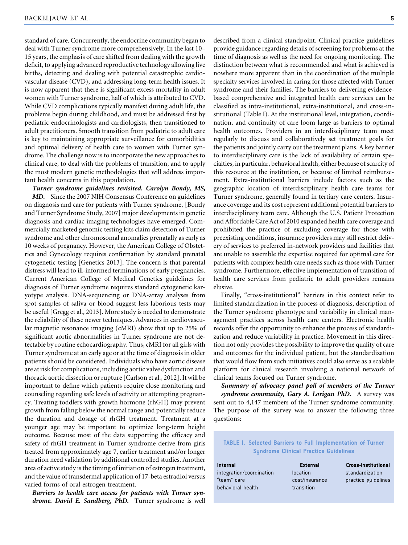standard of care. Concurrently, the endocrine community began to deal with Turner syndrome more comprehensively. In the last 10– 15 years, the emphasis of care shifted from dealing with the growth deficit, to applying advanced reproductive technology allowing live births, detecting and dealing with potential catastrophic cardiovascular disease (CVD), and addressing long-term health issues. It is now apparent that there is significant excess mortality in adult women with Turner syndrome, half of which is attributed to CVD. While CVD complications typically manifest during adult life, the problems begin during childhood, and must be addressed first by pediatric endocrinologists and cardiologists, then transitioned to adult practitioners. Smooth transition from pediatric to adult care is key to maintaining appropriate surveillance for comorbidities and optimal delivery of health care to women with Turner syndrome. The challenge now is to incorporate the new approaches to clinical care, to deal with the problems of transition, and to apply the most modern genetic methodologies that will address important health concerns in this population.

Turner syndrome guidelines revisited. Carolyn Bondy, MS, MD. Since the 2007 NIH Consensus Conference on guidelines on diagnosis and care for patients with Turner syndrome, [Bondy and Turner Syndrome Study, 2007] major developments in genetic diagnosis and cardiac imaging technologies have emerged. Commercially marketed genomic testing kits claim detection of Turner syndrome and other chromosomal anomalies prenatally as early as 10 weeks of pregnancy. However, the American College of Obstetrics and Gynecology requires confirmation by standard prenatal cytogenetic testing [Genetics 2013]. The concern is that parental distress will lead to ill-informed terminations of early pregnancies. Current American College of Medical Genetics guidelines for diagnosis of Turner syndrome requires standard cytogenetic karyotype analysis. DNA-sequencing or DNA-array analyses from spot samples of saliva or blood suggest less laborious tests may be useful [Gregg et al., 2013]. More study is needed to demonstrate the reliability of these newer techniques. Advances in cardiovascular magnetic resonance imaging (cMRI) show that up to 25% of significant aortic abnormalities in Turner syndrome are not detectable by routine echocardiography. Thus, cMRI for all girls with Turner syndrome at an early age or at the time of diagnosis in older patients should be considered. Individuals who have aortic disease are at risk for complications, including aortic valve dysfunction and thoracic aortic dissection or rupture [Carlson et al., 2012]. It will be important to define which patients require close monitoring and counseling regarding safe levels of activity or attempting pregnancy. Treating toddlers with growth hormone (rhGH) may prevent growth from falling below the normal range and potentially reduce the duration and dosage of rhGH treatment. Treatment at a younger age may be important to optimize long-term height outcome. Because most of the data supporting the efficacy and safety of rhGH treatment in Turner syndrome derive from girls treated from approximately age 7, earlier treatment and/or longer duration need validation by additional controlled studies. Another area of active study is the timing of initiation of estrogen treatment, and the value of transdermal application of 17-beta estradiol versus varied forms of oral estrogen treatment.

Barriers to health care access for patients with Turner syndrome. David E. Sandberg, PhD. Turner syndrome is well described from a clinical standpoint. Clinical practice guidelines provide guidance regarding details of screening for problems at the time of diagnosis as well as the need for ongoing monitoring. The distinction between what is recommended and what is achieved is nowhere more apparent than in the coordination of the multiple specialty services involved in caring for those affected with Turner syndrome and their families. The barriers to delivering evidencebased comprehensive and integrated health care services can be classified as intra-institutional, extra-institutional, and cross-institutional (Table I). At the institutional level, integration, coordination, and continuity of care loom large as barriers to optimal health outcomes. Providers in an interdisciplinary team meet regularly to discuss and collaboratively set treatment goals for the patients and jointly carry out the treatment plans. A key barrier to interdisciplinary care is the lack of availability of certain specialties, in particular, behavioral health, either because of scarcity of this resource at the institution, or because of limited reimbursement. Extra-institutional barriers include factors such as the geographic location of interdisciplinary health care teams for Turner syndrome, generally found in tertiary care centers. Insurance coverage and its cost represent additional potential barriers to interdisciplinary team care. Although the U.S. Patient Protection and Affordable Care Act of 2010 expanded health care coverage and prohibited the practice of excluding coverage for those with preexisting conditions, insurance providers may still restrict delivery of services to preferred in-network providers and facilities that are unable to assemble the expertise required for optimal care for patients with complex health care needs such as those with Turner syndrome. Furthermore, effective implementation of transition of health care services from pediatric to adult providers remains elusive.

Finally, "cross-institutional" barriers in this context refer to limited standardization in the process of diagnosis, description of the Turner syndrome phenotype and variability in clinical management practices across health care centers. Electronic health records offer the opportunity to enhance the process of standardization and reduce variability in practice. Movement in this direction not only provides the possibility to improve the quality of care and outcomes for the individual patient, but the standardization that would flow from such initiatives could also serve as a scalable platform for clinical research involving a national network of clinical teams focused on Turner syndrome.

Summary of advocacy panel poll of members of the Turner syndrome community, Gary A. Lorigan PhD. A survey was sent out to 4,147 members of the Turner syndrome community. The purpose of the survey was to answer the following three questions:

TABLE I. Selected Barriers to Full Implementation of Turner Syndrome Clinical Practice Guidelines

| Internal               |
|------------------------|
| integration/coordinati |
| "team" care            |
| behavioral health      |

transition

External Cross-institutional ion location standardization cost/insurance practice guidelines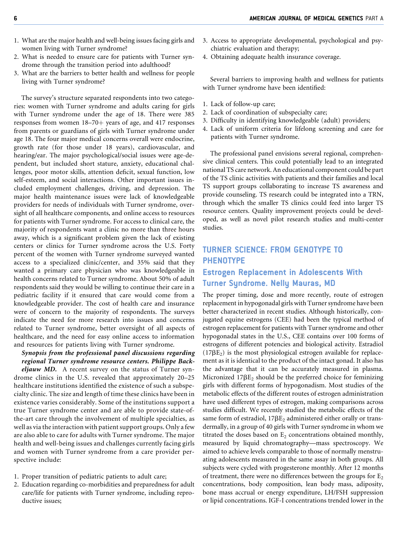- 1. What are the major health and well-being issues facing girls and women living with Turner syndrome?
- 2. What is needed to ensure care for patients with Turner syndrome through the transition period into adulthood?
- 3. What are the barriers to better health and wellness for people living with Turner syndrome?

The survey's structure separated respondents into two categories: women with Turner syndrome and adults caring for girls with Turner syndrome under the age of 18. There were 385 responses from women  $18-70+$  years of age, and 417 responses from parents or guardians of girls with Turner syndrome under age 18. The four major medical concerns overall were endocrine, growth rate (for those under 18 years), cardiovascular, and hearing/ear. The major psychological/social issues were age-dependent, but included short stature, anxiety, educational challenges, poor motor skills, attention deficit, sexual function, low self-esteem, and social interactions. Other important issues included employment challenges, driving, and depression. The major health maintenance issues were lack of knowledgeable providers for needs of individuals with Turner syndrome, oversight of all healthcare components, and online access to resources for patients with Turner syndrome. For access to clinical care, the majority of respondents want a clinic no more than three hours away, which is a significant problem given the lack of existing centers or clinics for Turner syndrome across the U.S. Forty percent of the women with Turner syndrome surveyed wanted access to a specialized clinic/center, and 35% said that they wanted a primary care physician who was knowledgeable in health concerns related to Turner syndrome. About 50% of adult respondents said they would be willing to continue their care in a pediatric facility if it ensured that care would come from a knowledgeable provider. The cost of health care and insurance were of concern to the majority of respondents. The surveys indicate the need for more research into issues and concerns related to Turner syndrome, better oversight of all aspects of healthcare, and the need for easy online access to information and resources for patients living with Turner syndrome.

Synopsis from the professional panel discussions regarding regional Turner syndrome resource centers. Philippe Backeljauw MD. A recent survey on the status of Turner syn-

drome clinics in the U.S. revealed that approximately 20–25 healthcare institutions identified the existence of such a subspecialty clinic. The size and length of time these clinics have been in existence varies considerably. Some of the institutions support a true Turner syndrome center and are able to provide state-ofthe-art care through the involvement of multiple specialties, as well as via the interaction with patient support groups. Only a few are also able to care for adults with Turner syndrome. The major health and well-being issues and challenges currently facing girls and women with Turner syndrome from a care provider perspective include:

- 1. Proper transition of pediatric patients to adult care;
- 2. Education regarding co-morbidities and preparedness for adult care/life for patients with Turner syndrome, including reproductive issues;
- 3. Access to appropriate developmental, psychological and psychiatric evaluation and therapy;
- 4. Obtaining adequate health insurance coverage.

Several barriers to improving health and wellness for patients with Turner syndrome have been identified:

- 1. Lack of follow-up care;
- 2. Lack of coordination of subspecialty care;
- 3. Difficulty in identifying knowledgeable (adult) providers;
- 4. Lack of uniform criteria for lifelong screening and care for patients with Turner syndrome.

The professional panel envisions several regional, comprehensive clinical centers. This could potentially lead to an integrated national TS care network. An educational component could be part of the TS clinic activities with patients and their families and local TS support groups collaborating to increase TS awareness and provide counseling. TS research could be integrated into a TRN, through which the smaller TS clinics could feed into larger TS resource centers. Quality improvement projects could be developed, as well as novel pilot research studies and multi-center studies.

## TURNER SCIENCE: FROM GENOTYPE TO **PHENOTYPE**

#### Estrogen Replacement in Adolescents With Turner Syndrome. Nelly Mauras, MD

The proper timing, dose and more recently, route of estrogen replacement in hypogonadal girls with Turner syndrome have been better characterized in recent studies. Although historically, conjugated equine estrogens (CEE) had been the typical method of estrogen replacement for patients with Turner syndrome and other hypogonadal states in the U.S., CEE contains over 100 forms of estrogens of different potencies and biological activity. Estradiol  $(17\beta E_2)$  is the most physiological estrogen available for replacement as it is identical to the product of the intact gonad. It also has the advantage that it can be accurately measured in plasma. Micronized  $17\beta E_2$  should be the preferred choice for feminizing girls with different forms of hypogonadism. Most studies of the metabolic effects of the different routes of estrogen administration have used different types of estrogen, making comparisons across studies difficult. We recently studied the metabolic effects of the same form of estradiol,  $17\beta E_2$  administered either orally or transdermally, in a group of 40 girls with Turner syndrome in whom we titrated the doses based on  $E_2$  concentrations obtained monthly, measured by liquid chromatography—mass spectroscopy. We aimed to achieve levels comparable to those of normally menstruating adolescents measured in the same assay in both groups. All subjects were cycled with progesterone monthly. After 12 months of treatment, there were no differences between the groups for  $E_2$ concentrations, body composition, lean body mass, adiposity, bone mass accrual or energy expenditure, LH/FSH suppression or lipid concentrations. IGF-I concentrations trended lower in the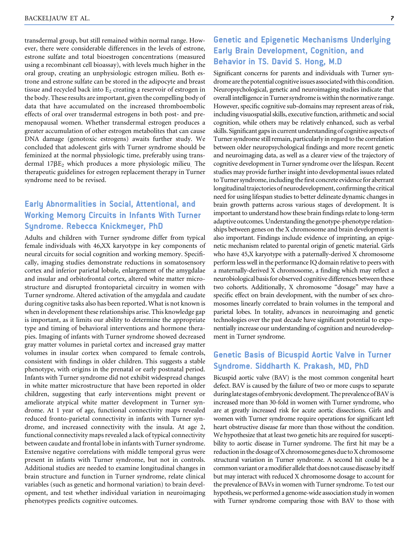transdermal group, but still remained within normal range. However, there were considerable differences in the levels of estrone, estrone sulfate and total bioestrogen concentrations (measured using a recombinant cell bioassay), with levels much higher in the oral group, creating an unphysiologic estrogen milieu. Both estrone and estrone sulfate can be stored in the adipocyte and breast tissue and recycled back into  $E_2$  creating a reservoir of estrogen in the body. These results are important, given the compelling body of data that have accumulated on the increased thromboembolic effects of oral over transdermal estrogens in both post- and premenopausal women. Whether transdermal estrogen produces a greater accumulation of other estrogen metabolites that can cause DNA damage (genotoxic estrogens) awaits further study. We concluded that adolescent girls with Turner syndrome should be feminized at the normal physiologic time, preferably using transdermal  $17\beta E_2$  which produces a more physiologic milieu. The therapeutic guidelines for estrogen replacement therapy in Turner syndrome need to be revised.

### Early Abnormalities in Social, Attentional, and Working Memory Circuits in Infants With Turner Syndrome. Rebecca Knickmeyer, PhD

Adults and children with Turner syndrome differ from typical female individuals with 46,XX karyotype in key components of neural circuits for social cognition and working memory. Specifically, imaging studies demonstrate reductions in somatosensory cortex and inferior parietal lobule, enlargement of the amygdalae and insular and orbitofrontal cortex, altered white matter microstructure and disrupted frontoparietal circuitry in women with Turner syndrome. Altered activation of the amygdala and caudate during cognitive tasks also has been reported. What is not known is when in development these relationships arise. This knowledge gap is important, as it limits our ability to determine the appropriate type and timing of behavioral interventions and hormone therapies. Imaging of infants with Turner syndrome showed decreased gray matter volumes in parietal cortex and increased gray matter volumes in insular cortex when compared to female controls, consistent with findings in older children. This suggests a stable phenotype, with origins in the prenatal or early postnatal period. Infants with Turner syndrome did not exhibit widespread changes in white matter microstructure that have been reported in older children, suggesting that early interventions might prevent or ameliorate atypical white matter development in Turner syndrome. At 1 year of age, functional connectivity maps revealed reduced fronto-parietal connectivity in infants with Turner syndrome, and increased connectivity with the insula. At age 2, functional connectivity maps revealed a lack of typical connectivity between caudate and frontal lobe in infants with Turner syndrome. Extensive negative correlations with middle temporal gyrus were present in infants with Turner syndrome, but not in controls. Additional studies are needed to examine longitudinal changes in brain structure and function in Turner syndrome, relate clinical variables (such as genetic and hormonal variation) to brain development, and test whether individual variation in neuroimaging phenotypes predicts cognitive outcomes.

#### Genetic and Epigenetic Mechanisms Underlying Early Brain Development, Cognition, and Behavior in TS. David S. Hong, M.D

Significant concerns for parents and individuals with Turner syndrome are the potential cognitive issues associated with this condition. Neuropsychological, genetic and neuroimaging studies indicate that overall intelligence in Turner syndrome is within the normative range. However, specific cognitive sub-domains may represent areas of risk, including visuospatial skills, executive function, arithmetic and social cognition, while others may be relatively enhanced, such as verbal skills. Significant gaps in current understanding of cognitive aspects of Turner syndrome still remain, particularly in regard to the correlation between older neuropsychological findings and more recent genetic and neuroimaging data, as well as a clearer view of the trajectory of cognitive development in Turner syndrome over the lifespan. Recent studies may provide further insight into developmental issues related to Turner syndrome, including the first concrete evidence for aberrant longitudinal trajectories of neurodevelopment, confirming the critical need for using lifespan studies to better delineate dynamic changes in brain growth patterns across various stages of development. It is important to understand how these brain findings relate to long-term adaptive outcomes. Understanding the genotype-phenotype relationships between genes on the X chromosome and brain development is also important. Findings include evidence of imprinting, an epigenetic mechanism related to parental origin of genetic material. Girls who have 45,X karyotype with a paternally-derived X chromosome perform less well in the performance IQ domain relative to peers with a maternally-derived X chromosome, a finding which may reflect a neurobiological basisfor observed cognitive differences between these two cohorts. Additionally, X chromosome "dosage" may have a specific effect on brain development, with the number of sex chromosomes linearly correlated to brain volumes in the temporal and parietal lobes. In totality, advances in neuroimaging and genetic technologies over the past decade have significant potential to exponentially increase our understanding of cognition and neurodevelopment in Turner syndrome.

#### Genetic Basis of Bicuspid Aortic Valve in Turner Syndrome. Siddharth K. Prakash, MD, PhD

Bicuspid aortic valve (BAV) is the most common congenital heart defect. BAV is caused by the failure of two or more cusps to separate during late stages of embryonic development. The prevalence of BAV is increased more than 30-fold in women with Turner syndrome, who are at greatly increased risk for acute aortic dissections. Girls and women with Turner syndrome require operations for significant left heart obstructive disease far more than those without the condition. We hypothesize that at least two genetic hits are required for susceptibility to aortic disease in Turner syndrome. The first hit may be a reduction in the dosage of X chromosome genes due to X chromosome structural variation in Turner syndrome. A second hit could be a common variant or amodifier allele that does not cause disease byitself but may interact with reduced X chromosome dosage to account for the prevalence of BAVs in women with Turner syndrome. To test our hypothesis, we performed a genome-wide association study in women with Turner syndrome comparing those with BAV to those with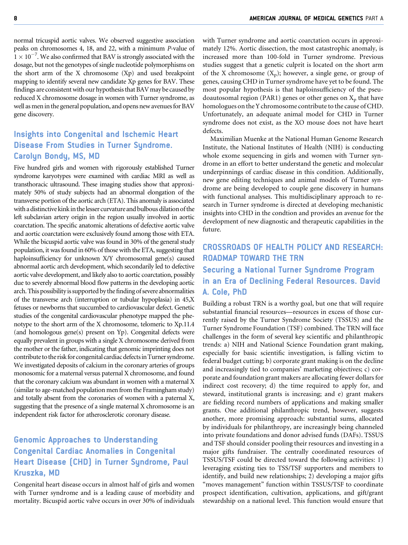normal tricuspid aortic valves. We observed suggestive association peaks on chromosomes 4, 18, and 22, with a minimum P-value of  $1 \times 10^{-7}$ . We also confirmed that BAV is strongly associated with the dosage, but not the genotypes of single nucleotide polymorphisms on the short arm of the X chromosome (Xp) and used breakpoint mapping to identify several new candidate Xp genes for BAV. These findings are consistent with our hypothesis that BAV may be caused by reduced X chromosome dosage in women with Turner syndrome, as well as men in the general population, and opens new avenues for BAV gene discovery.

### Insights into Congenital and Ischemic Heart Disease From Studies in Turner Syndrome. Carolyn Bondy, MS, MD

Five hundred girls and women with rigorously established Turner syndrome karyotypes were examined with cardiac MRI as well as transthoracic ultrasound. These imaging studies show that approximately 50% of study subjects had an abnormal elongation of the transverse portion of the aortic arch (ETA). This anomaly is associated with a distinctive kink in the lesser curvature and bulbous dilation of the left subclavian artery origin in the region usually involved in aortic coarctation. The specific anatomic alterations of defective aortic valve and aortic coarctation were exclusively found among those with ETA. While the bicuspid aortic valve was found in 30% of the general study population, it was found in 60% of those with the ETA, suggesting that haploinsufficiency for unknown X/Y chromosomal gene(s) caused abnormal aortic arch development, which secondarily led to defective aortic valve development, and likely also to aortic coarctation, possibly due to severely abnormal blood flow patterns in the developing aortic arch. This possibility is supported by the finding of severe abnormalities of the transverse arch (interruption or tubular hypoplasia) in 45,X fetuses or newborns that succumbed to cardiovascular defect. Genetic studies of the congenital cardiovascular phenotype mapped the phenotype to the short arm of the X chromosome, telomeric to Xp.11.4 (and homologous gene(s) present on Yp). Congenital defects were equally prevalent in groups with a single X chromosome derived from the mother or the father, indicating that genomic imprinting does not contribute to the risk for congenital cardiac defects in Turner syndrome. We investigated deposits of calcium in the coronary arteries of groups monosomic for a maternal versus paternal X chromosome, and found that the coronary calcium was abundant in women with a maternal X (similar to age-matched population men from the Framingham study) and totally absent from the coronaries of women with a paternal X, suggesting that the presence of a single maternal X chromosome is an independent risk factor for atherosclerotic coronary disease.

### Genomic Approaches to Understanding Congenital Cardiac Anomalies in Congenital Heart Disease (CHD) in Turner Syndrome, Paul Kruszka, MD

Congenital heart disease occurs in almost half of girls and women with Turner syndrome and is a leading cause of morbidity and mortality. Bicuspid aortic valve occurs in over 30% of individuals with Turner syndrome and aortic coarctation occurs in approximately 12%. Aortic dissection, the most catastrophic anomaly, is increased more than 100-fold in Turner syndrome. Previous studies suggest that a genetic culprit is located on the short arm of the X chromosome  $(X_p)$ ; however, a single gene, or group of genes, causing CHD in Turner syndrome have yet to be found. The most popular hypothesis is that haploinsufficiency of the pseudoautosomal region (PAR1) genes or other genes on  $X<sub>p</sub>$  that have homologues on the Y chromosome contribute to the cause of CHD. Unfortunately, an adequate animal model for CHD in Turner syndrome does not exist, as the XO mouse does not have heart defects.

Maximilian Muenke at the National Human Genome Research Institute, the National Institutes of Health (NIH) is conducting whole exome sequencing in girls and women with Turner syndrome in an effort to better understand the genetic and molecular underpinnings of cardiac disease in this condition. Additionally, new gene editing techniques and animal models of Turner syndrome are being developed to couple gene discovery in humans with functional analyses. This multidisciplinary approach to research in Turner syndrome is directed at developing mechanistic insights into CHD in the condtion and provides an avenue for the development of new diagnostic and therapeutic capabilities in the future.

#### CROSSROADS OF HEALTH POLICY AND RESEARCH: ROADMAP TOWARD THE TRN

### Securing a National Turner Syndrome Program in an Era of Declining Federal Resources. David A. Cole, PhD

Building a robust TRN is a worthy goal, but one that will require substantial financial resources—resources in excess of those currently raised by the Turner Syndrome Society (TSSUS) and the Turner Syndrome Foundation (TSF) combined. The TRN will face challenges in the form of several key scientific and philanthropic trends: a) NIH and National Science Foundation grant making, especially for basic scientific investigation, is falling victim to federal budget cutting; b) corporate grant making is on the decline and increasingly tied to companies' marketing objectives; c) corporate and foundation grant makers are allocating fewer dollars for indirect cost recovery; d) the time required to apply for, and steward, institutional grants is increasing; and e) grant makers are fielding record numbers of applications and making smaller grants. One additional philanthropic trend, however, suggests another, more promising approach: substantial sums, allocated by individuals for philanthropy, are increasingly being channeled into private foundations and donor advised funds (DAFs). TSSUS and TSF should consider pooling their resources and investing in a major gifts fundraiser. The centrally coordinated resources of TSSUS/TSF could be directed toward the following activities: 1) leveraging existing ties to TSS/TSF supporters and members to identify, and build new relationships; 2) developing a major gifts "moves management" function within TSSUS/TSF to coordinate prospect identification, cultivation, applications, and gift/grant stewardship on a national level. This function would ensure that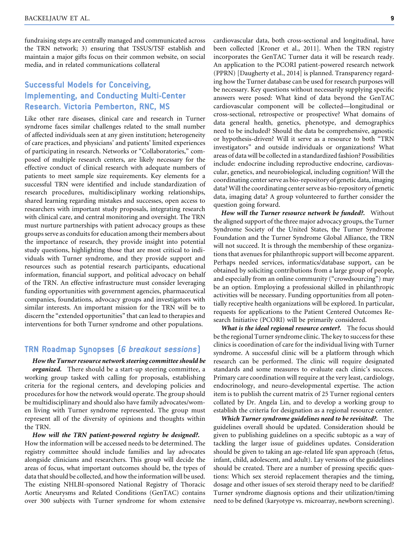fundraising steps are centrally managed and communicated across the TRN network; 3) ensuring that TSSUS/TSF establish and maintain a major gifts focus on their common website, on social media, and in related communications collateral

### Successful Models for Conceiving, Implementing, and Conducting Multi-Center Research. Victoria Pemberton, RNC, MS

Like other rare diseases, clinical care and research in Turner syndrome faces similar challenges related to the small number of affected individuals seen at any given institution; heterogeneity of care practices, and physicians' and patients' limited experiences of participating in research. Networks or "Collaboratories," composed of multiple research centers, are likely necessary for the effective conduct of clinical research with adequate numbers of patients to meet sample size requirements. Key elements for a successful TRN were identified and include standardization of research procedures, multidisciplinary working relationships, shared learning regarding mistakes and successes, open access to researchers with important study proposals, integrating research with clinical care, and central monitoring and oversight. The TRN must nurture partnerships with patient advocacy groups as these groups serve as conduits for education among their members about the importance of research, they provide insight into potential study questions, highlighting those that are most critical to individuals with Turner syndrome, and they provide support and resources such as potential research participants, educational information, financial support, and political advocacy on behalf of the TRN. An effective infrastructure must consider leveraging funding opportunities with government agencies, pharmaceutical companies, foundations, advocacy groups and investigators with similar interests. An important mission for the TRN will be to discern the "extended opportunities" that can lead to therapies and interventions for both Turner syndrome and other populations.

#### TRN Roadmap Synopses (6 breakout sessions)

How the Turner resource network steering committee should be organized. There should be a start-up steering committee, a working group tasked with calling for proposals, establishing criteria for the regional centers, and developing policies and procedures for how the network would operate. The group should be multidisciplinary and should also have family advocates/women living with Turner syndrome represented. The group must represent all of the diversity of opinions and thoughts within the TRN.

How will the TRN patient-powered registry be designed?. How the information will be accessed needs to be determined. The registry committee should include families and lay advocates alongside clinicians and researchers. This group will decide the areas of focus, what important outcomes should be, the types of data that should be collected, and how the information will be used. The existing NHLBI-sponsored National Registry of Thoracic Aortic Aneurysms and Related Conditions (GenTAC) contains over 300 subjects with Turner syndrome for whom extensive

cardiovascular data, both cross-sectional and longitudinal, have been collected [Kroner et al., 2011]. When the TRN registry incorporates the GenTAC Turner data it will be research ready. An application to the PCORI patient-powered research network (PPRN) [Daugherty et al., 2014] is planned. Transparency regarding how the Turner database can be used for research purposes will be necessary. Key questions without necessarily supplying specific answers were posed: What kind of data beyond the GenTAC cardiovascular component will be collected—longitudinal or cross-sectional, retrospective or prospective? What domains of data general health, genetics, phenotype, and demographics need to be included? Should the data be comprehensive, agnostic or hypothesis-driven? Will it serve as a resource to both "TRN investigators" and outside individuals or organizations? What areas of data will be collected in a standardized fashion? Possibilities include: endocrine including reproductive endocrine, cardiovascular, genetics, and neurobiological, including cognition? Will the coordinating center serve as bio-repository of genetic data, imaging data? Will the coordinating center serve as bio-repository of genetic data, imaging data? A group volunteered to further consider the question going forward.

How will the Turner resource network be funded?. Without the aligned support of the three major advocacy groups, the Turner Syndrome Society of the United States, the Turner Syndrome Foundation and the Turner Syndrome Global Alliance, the TRN will not succeed. It is through the membership of these organizations that avenues for philanthropic support will become apparent. Perhaps needed services, informatics/database support, can be obtained by soliciting contributions from a large group of people, and especially from an online community ("crowdsourcing") may be an option. Employing a professional skilled in philanthropic activities will be necessary. Funding opportunities from all potentially receptive health organizations will be explored. In particular, requests for applications to the Patient Centered Outcomes Research Initiative (PCORI) will be primarily considered.

What is the ideal regional resource center?. The focus should be the regional Turner syndrome clinic. The key to success for these clinics is coordination of care for the individual living with Turner syndrome. A successful clinic will be a platform through which research can be performed. The clinic will require designated standards and some measures to evaluate each clinic's success. Primary care coordination will require at the very least, cardiology, endocrinology, and neuro-developmental expertise. The action item is to publish the current matrix of 25 Turner regional centers collated by Dr. Angela Lin, and to develop a working group to establish the criteria for designation as a regional resource center.

Which Turner syndrome guidelines need to be revisited?. The guidelines overall should be updated. Consideration should be given to publishing guidelines on a specific subtopic as a way of tackling the larger issue of guidelines updates. Consideration should be given to taking an age-related life span approach (fetus, infant, child, adolescent, and adult). Lay versions of the guidelines should be created. There are a number of pressing specific questions: Which sex steroid replacement therapies and the timing, dosage and other issues of sex steroid therapy need to be clarified? Turner syndrome diagnosis options and their utilization/timing need to be defined (karyotype vs. microarray, newborn screening).